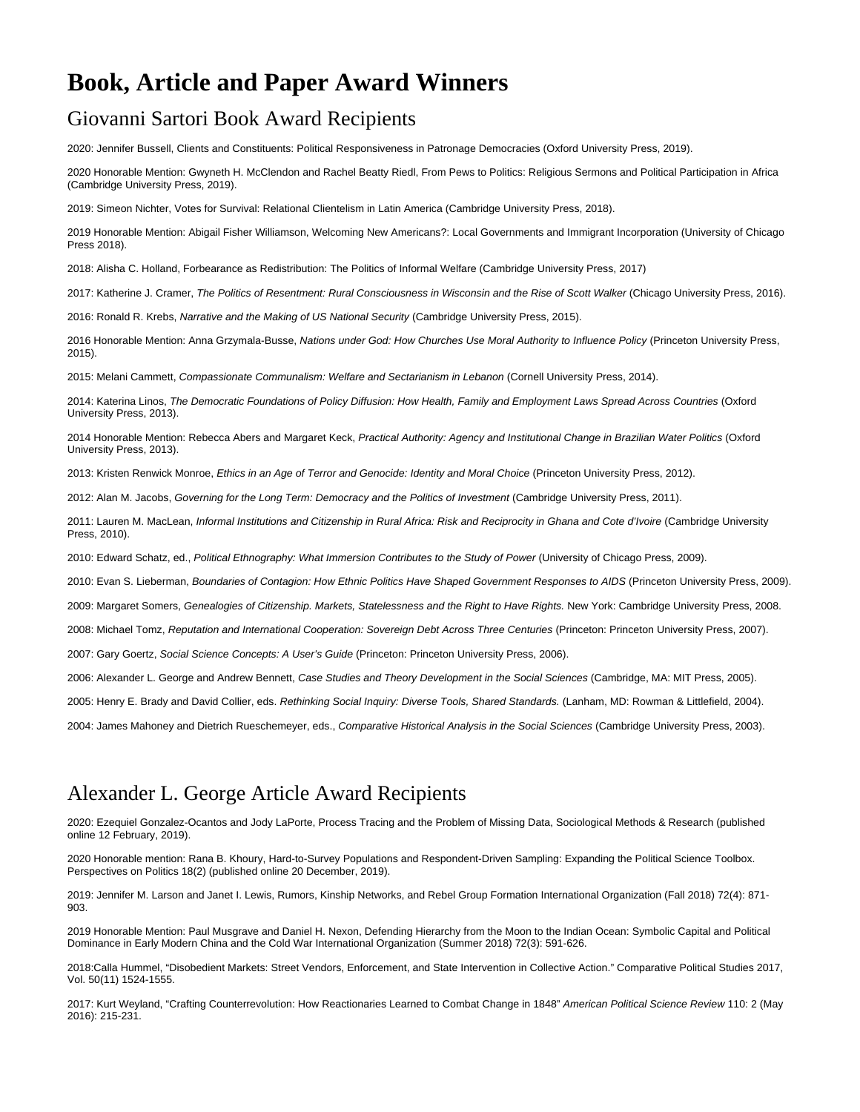# **Book, Article and Paper Award Winners**

#### Giovanni Sartori Book Award Recipients

2020: Jennifer Bussell, Clients and Constituents: Political Responsiveness in Patronage Democracies (Oxford University Press, 2019).

2020 Honorable Mention: Gwyneth H. McClendon and Rachel Beatty Riedl, From Pews to Politics: Religious Sermons and Political Participation in Africa (Cambridge University Press, 2019).

2019: Simeon Nichter, Votes for Survival: Relational Clientelism in Latin America (Cambridge University Press, 2018).

2019 Honorable Mention: Abigail Fisher Williamson, Welcoming New Americans?: Local Governments and Immigrant Incorporation (University of Chicago Press 2018).

2018: Alisha C. Holland, Forbearance as Redistribution: The Politics of Informal Welfare (Cambridge University Press, 2017)

2017: Katherine J. Cramer, The Politics of Resentment: Rural Consciousness in Wisconsin and the Rise of Scott Walker (Chicago University Press, 2016).

2016: Ronald R. Krebs, Narrative and the Making of US National Security (Cambridge University Press, 2015).

2016 Honorable Mention: Anna Grzymala-Busse, Nations under God: How Churches Use Moral Authority to Influence Policy (Princeton University Press, 2015).

2015: Melani Cammett, Compassionate Communalism: Welfare and Sectarianism in Lebanon (Cornell University Press, 2014).

2014: Katerina Linos, The Democratic Foundations of Policy Diffusion: How Health, Family and Employment Laws Spread Across Countries (Oxford University Press, 2013).

2014 Honorable Mention: Rebecca Abers and Margaret Keck, Practical Authority: Agency and Institutional Change in Brazilian Water Politics (Oxford University Press, 2013).

2013: Kristen Renwick Monroe, Ethics in an Age of Terror and Genocide: Identity and Moral Choice (Princeton University Press, 2012).

2012: Alan M. Jacobs, Governing for the Long Term: Democracy and the Politics of Investment (Cambridge University Press, 2011).

2011: Lauren M. MacLean, Informal Institutions and Citizenship in Rural Africa: Risk and Reciprocity in Ghana and Cote d'Ivoire (Cambridge University Press, 2010).

2010: Edward Schatz, ed., Political Ethnography: What Immersion Contributes to the Study of Power (University of Chicago Press, 2009).

2010: Evan S. Lieberman, Boundaries of Contagion: How Ethnic Politics Have Shaped Government Responses to AIDS (Princeton University Press, 2009).

2009: Margaret Somers, Genealogies of Citizenship. Markets, Statelessness and the Right to Have Rights. New York: Cambridge University Press, 2008.

2008: Michael Tomz, Reputation and International Cooperation: Sovereign Debt Across Three Centuries (Princeton: Princeton University Press, 2007).

2007: Gary Goertz, Social Science Concepts: A User's Guide (Princeton: Princeton University Press, 2006).

2006: Alexander L. George and Andrew Bennett, Case Studies and Theory Development in the Social Sciences (Cambridge, MA: MIT Press, 2005).

2005: Henry E. Brady and David Collier, eds. Rethinking Social Inquiry: Diverse Tools, Shared Standards. (Lanham, MD: Rowman & Littlefield, 2004).

2004: James Mahoney and Dietrich Rueschemeyer, eds., Comparative Historical Analysis in the Social Sciences (Cambridge University Press, 2003).

#### Alexander L. George Article Award Recipients

2020: Ezequiel Gonzalez-Ocantos and Jody LaPorte, Process Tracing and the Problem of Missing Data, Sociological Methods & Research (published online 12 February, 2019).

2020 Honorable mention: Rana B. Khoury, Hard-to-Survey Populations and Respondent-Driven Sampling: Expanding the Political Science Toolbox. Perspectives on Politics 18(2) (published online 20 December, 2019).

2019: Jennifer M. Larson and Janet I. Lewis, Rumors, Kinship Networks, and Rebel Group Formation International Organization (Fall 2018) 72(4): 871- 903.

2019 Honorable Mention: Paul Musgrave and Daniel H. Nexon, Defending Hierarchy from the Moon to the Indian Ocean: Symbolic Capital and Political Dominance in Early Modern China and the Cold War International Organization (Summer 2018) 72(3): 591-626.

2018:Calla Hummel, "Disobedient Markets: Street Vendors, Enforcement, and State Intervention in Collective Action." Comparative Political Studies 2017, Vol. 50(11) 1524-1555.

2017: Kurt Weyland, "Crafting Counterrevolution: How Reactionaries Learned to Combat Change in 1848" American Political Science Review 110: 2 (May 2016): 215-231.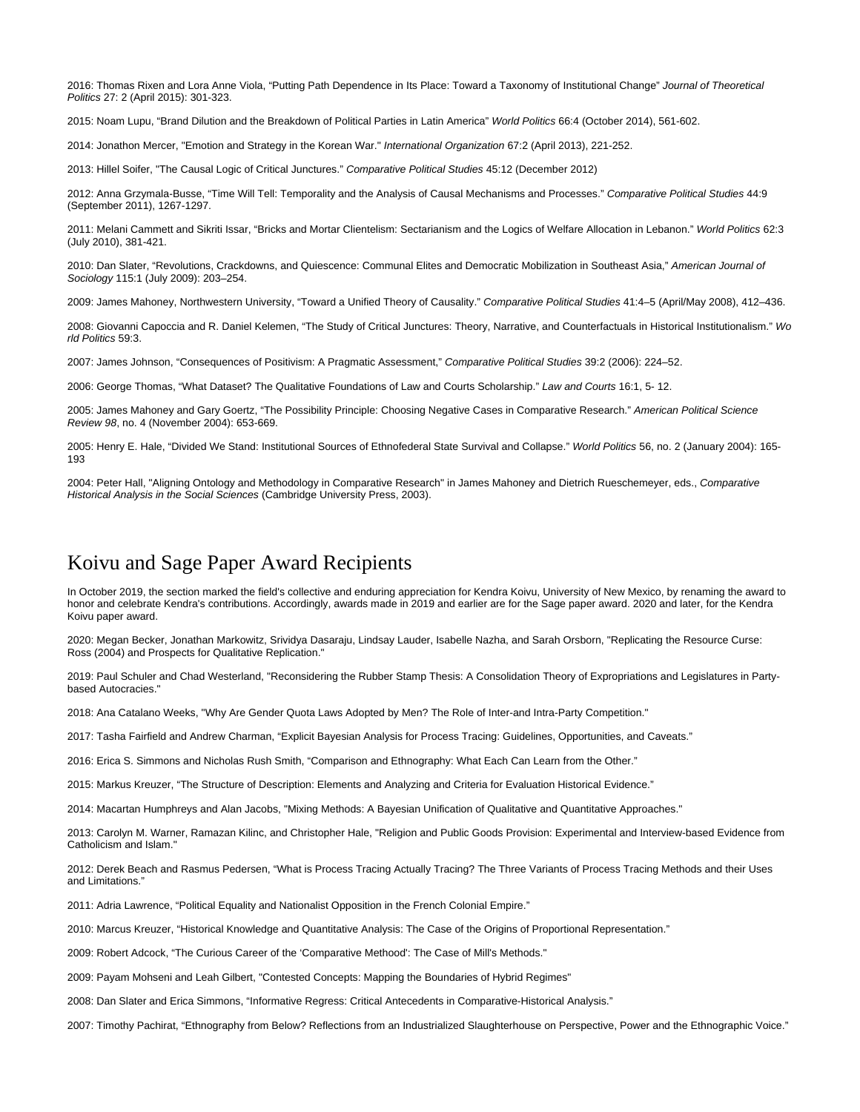2016: Thomas Rixen and Lora Anne Viola, "Putting Path Dependence in Its Place: Toward a Taxonomy of Institutional Change" Journal of Theoretical Politics 27: 2 (April 2015): 301-323.

2015: Noam Lupu, "Brand Dilution and the Breakdown of Political Parties in Latin America" World Politics 66:4 (October 2014), 561-602.

2014: Jonathon Mercer, "Emotion and Strategy in the Korean War." International Organization 67:2 (April 2013), 221-252.

2013: Hillel Soifer, "The Causal Logic of Critical Junctures." Comparative Political Studies 45:12 (December 2012)

2012: Anna Grzymala-Busse, "Time Will Tell: Temporality and the Analysis of Causal Mechanisms and Processes." Comparative Political Studies 44:9 (September 2011), 1267-1297.

2011: Melani Cammett and Sikriti Issar, "Bricks and Mortar Clientelism: Sectarianism and the Logics of Welfare Allocation in Lebanon." World Politics 62:3 (July 2010), 381-421.

2010: Dan Slater, "Revolutions, Crackdowns, and Quiescence: Communal Elites and Democratic Mobilization in Southeast Asia," American Journal of Sociology 115:1 (July 2009): 203–254.

2009: James Mahoney, Northwestern University, "Toward a Unified Theory of Causality." Comparative Political Studies 41:4–5 (April/May 2008), 412–436.

2008: Giovanni Capoccia and R. Daniel Kelemen, "The Study of Critical Junctures: Theory, Narrative, and Counterfactuals in Historical Institutionalism." Wo rld Politics 59:3.

2007: James Johnson, "Consequences of Positivism: A Pragmatic Assessment," Comparative Political Studies 39:2 (2006): 224–52.

2006: George Thomas, "What Dataset? The Qualitative Foundations of Law and Courts Scholarship." Law and Courts 16:1, 5- 12.

2005: James Mahoney and Gary Goertz, "The Possibility Principle: Choosing Negative Cases in Comparative Research." American Political Science Review 98, no. 4 (November 2004): 653-669.

2005: Henry E. Hale, "Divided We Stand: Institutional Sources of Ethnofederal State Survival and Collapse." World Politics 56, no. 2 (January 2004): 165- 193

2004: Peter Hall, "Aligning Ontology and Methodology in Comparative Research" in James Mahoney and Dietrich Rueschemeyer, eds., Comparative Historical Analysis in the Social Sciences (Cambridge University Press, 2003).

### Koivu and Sage Paper Award Recipients

In October 2019, the section marked the field's collective and enduring appreciation for Kendra Koivu, University of New Mexico, by renaming the award to honor and celebrate Kendra's contributions. Accordingly, awards made in 2019 and earlier are for the Sage paper award. 2020 and later, for the Kendra Koivu paper award.

2020: Megan Becker, Jonathan Markowitz, Srividya Dasaraju, Lindsay Lauder, Isabelle Nazha, and Sarah Orsborn, "Replicating the Resource Curse: Ross (2004) and Prospects for Qualitative Replication."

2019: Paul Schuler and Chad Westerland, "Reconsidering the Rubber Stamp Thesis: A Consolidation Theory of Expropriations and Legislatures in Partybased Autocracies."

2018: Ana Catalano Weeks, "Why Are Gender Quota Laws Adopted by Men? The Role of Inter-and Intra-Party Competition."

2017: Tasha Fairfield and Andrew Charman, "Explicit Bayesian Analysis for Process Tracing: Guidelines, Opportunities, and Caveats."

2016: Erica S. Simmons and Nicholas Rush Smith, "Comparison and Ethnography: What Each Can Learn from the Other."

2015: Markus Kreuzer, "The Structure of Description: Elements and Analyzing and Criteria for Evaluation Historical Evidence."

2014: Macartan Humphreys and Alan Jacobs, "Mixing Methods: A Bayesian Unification of Qualitative and Quantitative Approaches."

2013: Carolyn M. Warner, Ramazan Kilinc, and Christopher Hale, "Religion and Public Goods Provision: Experimental and Interview-based Evidence from Catholicism and Islam."

2012: Derek Beach and Rasmus Pedersen, "What is Process Tracing Actually Tracing? The Three Variants of Process Tracing Methods and their Uses and Limitations."

2011: Adria Lawrence, "Political Equality and Nationalist Opposition in the French Colonial Empire."

2010: Marcus Kreuzer, "Historical Knowledge and Quantitative Analysis: The Case of the Origins of Proportional Representation."

2009: Robert Adcock, "The Curious Career of the 'Comparative Methood': The Case of Mill's Methods."

2009: Payam Mohseni and Leah Gilbert, "Contested Concepts: Mapping the Boundaries of Hybrid Regimes"

2008: Dan Slater and Erica Simmons, "Informative Regress: Critical Antecedents in Comparative-Historical Analysis."

2007: Timothy Pachirat, "Ethnography from Below? Reflections from an Industrialized Slaughterhouse on Perspective, Power and the Ethnographic Voice."